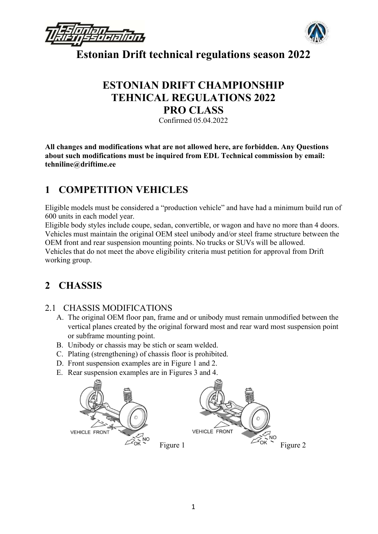



## ESTONIAN DRIFT CHAMPIONSHIP TEHNICAL REGULATIONS 2022 PRO CLASS

Confirmed 05.04.2022

All changes and modifications what are not allowed here, are forbidden. Any Questions about such modifications must be inquired from EDL Technical commission by email: tehniline@driftime.ee

## 1 COMPETITION VEHICLES

Eligible models must be considered a "production vehicle" and have had a minimum build run of 600 units in each model year.

Eligible body styles include coupe, sedan, convertible, or wagon and have no more than 4 doors. Vehicles must maintain the original OEM steel unibody and/or steel frame structure between the OEM front and rear suspension mounting points. No trucks or SUVs will be allowed. Vehicles that do not meet the above eligibility criteria must petition for approval from Drift working group.

## 2 CHASSIS

## 2.1 CHASSIS MODIFICATIONS

- A. The original OEM floor pan, frame and or unibody must remain unmodified between the vertical planes created by the original forward most and rear ward most suspension point or subframe mounting point.
- B. Unibody or chassis may be stich or seam welded.
- C. Plating (strengthening) of chassis floor is prohibited.
- D. Front suspension examples are in Figure 1 and 2.
- E. Rear suspension examples are in Figures 3 and 4.

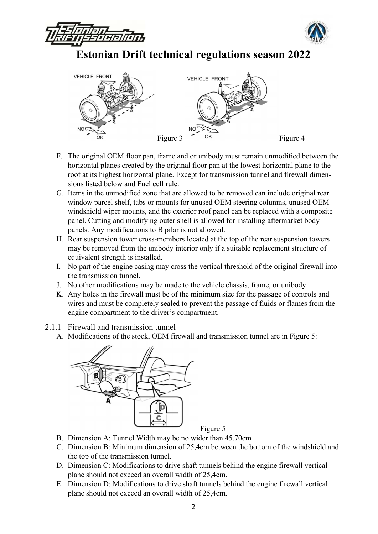





- F. The original OEM floor pan, frame and or unibody must remain unmodified between the horizontal planes created by the original floor pan at the lowest horizontal plane to the roof at its highest horizontal plane. Except for transmission tunnel and firewall dimensions listed below and Fuel cell rule.
- G. Items in the unmodified zone that are allowed to be removed can include original rear window parcel shelf, tabs or mounts for unused OEM steering columns, unused OEM windshield wiper mounts, and the exterior roof panel can be replaced with a composite panel. Cutting and modifying outer shell is allowed for installing aftermarket body panels. Any modifications to B pilar is not allowed.
- H. Rear suspension tower cross-members located at the top of the rear suspension towers may be removed from the unibody interior only if a suitable replacement structure of equivalent strength is installed.
- I. No part of the engine casing may cross the vertical threshold of the original firewall into the transmission tunnel.
- J. No other modifications may be made to the vehicle chassis, frame, or unibody.
- K. Any holes in the firewall must be of the minimum size for the passage of controls and wires and must be completely sealed to prevent the passage of fluids or flames from the engine compartment to the driver's compartment.
- 2.1.1 Firewall and transmission tunnel
	- A. Modifications of the stock, OEM firewall and transmission tunnel are in Figure 5:



Figure 5

- B. Dimension A: Tunnel Width may be no wider than 45,70cm
- C. Dimension B: Minimum dimension of 25,4cm between the bottom of the windshield and the top of the transmission tunnel.
- D. Dimension C: Modifications to drive shaft tunnels behind the engine firewall vertical plane should not exceed an overall width of 25,4cm.
- E. Dimension D: Modifications to drive shaft tunnels behind the engine firewall vertical plane should not exceed an overall width of 25,4cm.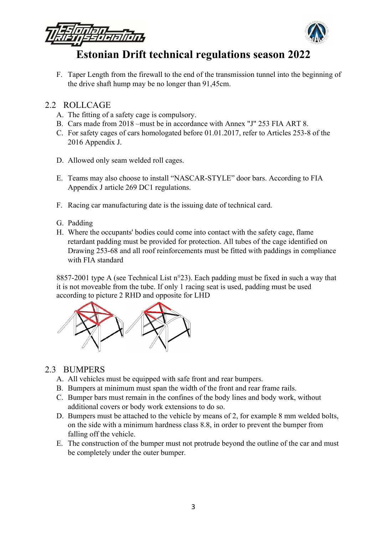

F. Taper Length from the firewall to the end of the transmission tunnel into the beginning of the drive shaft hump may be no longer than 91,45cm.

#### 2.2 ROLLCAGE

- A. The fitting of a safety cage is compulsory.
- B. Cars made from 2018 –must be in accordance with Annex "J" 253 FIA ART 8.
- C. For safety cages of cars homologated before 01.01.2017, refer to Articles 253‐8 of the 2016 Appendix J.
- D. Allowed only seam welded roll cages.
- E. Teams may also choose to install "NASCAR-STYLE" door bars. According to FIA Appendix J article 269 DC1 regulations.
- F. Racing car manufacturing date is the issuing date of technical card.
- G. Padding
- H. Where the occupants' bodies could come into contact with the safety cage, flame retardant padding must be provided for protection. All tubes of the cage identified on Drawing 253‐68 and all roof reinforcements must be fitted with paddings in compliance with FIA standard

8857-2001 type A (see Technical List n°23). Each padding must be fixed in such a way that it is not moveable from the tube. If only 1 racing seat is used, padding must be used according to picture 2 RHD and opposite for LHD



### 2.3 BUMPERS

- A. All vehicles must be equipped with safe front and rear bumpers.
- B. Bumpers at minimum must span the width of the front and rear frame rails.
- C. Bumper bars must remain in the confines of the body lines and body work, without additional covers or body work extensions to do so.
- D. Bumpers must be attached to the vehicle by means of 2, for example 8 mm welded bolts, on the side with a minimum hardness class 8.8, in order to prevent the bumper from falling off the vehicle.
- E. The construction of the bumper must not protrude beyond the outline of the car and must be completely under the outer bumper.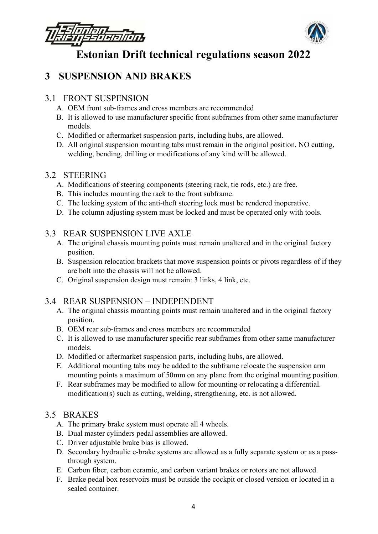

## 3 SUSPENSION AND BRAKES

### 3.1 FRONT SUSPENSION

- A. OEM front sub-frames and cross members are recommended
- B. It is allowed to use manufacturer specific front subframes from other same manufacturer models.
- C. Modified or aftermarket suspension parts, including hubs, are allowed.
- D. All original suspension mounting tabs must remain in the original position. NO cutting, welding, bending, drilling or modifications of any kind will be allowed.

## 3.2 STEERING

- A. Modifications of steering components (steering rack, tie rods, etc.) are free.
- B. This includes mounting the rack to the front subframe.
- C. The locking system of the anti‐theft steering lock must be rendered inoperative.
- D. The column adjusting system must be locked and must be operated only with tools.

## 3.3 REAR SUSPENSION LIVE AXLE

- A. The original chassis mounting points must remain unaltered and in the original factory position.
- B. Suspension relocation brackets that move suspension points or pivots regardless of if they are bolt into the chassis will not be allowed.
- C. Original suspension design must remain: 3 links, 4 link, etc.

## 3.4 REAR SUSPENSION – INDEPENDENT

- A. The original chassis mounting points must remain unaltered and in the original factory position.
- B. OEM rear sub-frames and cross members are recommended
- C. It is allowed to use manufacturer specific rear subframes from other same manufacturer models.
- D. Modified or aftermarket suspension parts, including hubs, are allowed.
- E. Additional mounting tabs may be added to the subframe relocate the suspension arm mounting points a maximum of 50mm on any plane from the original mounting position.
- F. Rear subframes may be modified to allow for mounting or relocating a differential. modification(s) such as cutting, welding, strengthening, etc. is not allowed.

## 3.5 BRAKES

- A. The primary brake system must operate all 4 wheels.
- B. Dual master cylinders pedal assemblies are allowed.
- C. Driver adjustable brake bias is allowed.
- D. Secondary hydraulic e-brake systems are allowed as a fully separate system or as a passthrough system.
- E. Carbon fiber, carbon ceramic, and carbon variant brakes or rotors are not allowed.
- F. Brake pedal box reservoirs must be outside the cockpit or closed version or located in a sealed container.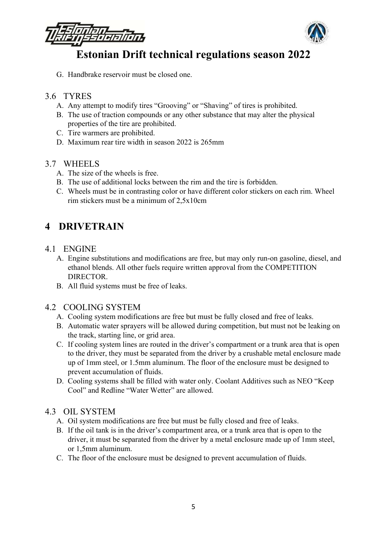

G. Handbrake reservoir must be closed one.

#### 3.6 TYRES

- A. Any attempt to modify tires "Grooving" or "Shaving" of tires is prohibited.
- B. The use of traction compounds or any other substance that may alter the physical properties of the tire are prohibited.
- C. Tire warmers are prohibited.
- D. Maximum rear tire width in season 2022 is 265mm

#### 3.7 WHEELS

- A. The size of the wheels is free.
- B. The use of additional locks between the rim and the tire is forbidden.
- C. Wheels must be in contrasting color or have different color stickers on each rim. Wheel rim stickers must be a minimum of 2,5x10cm

## 4 DRIVETRAIN

- 4.1 ENGINE
	- A. Engine substitutions and modifications are free, but may only run-on gasoline, diesel, and ethanol blends. All other fuels require written approval from the COMPETITION DIRECTOR.
	- B. All fluid systems must be free of leaks.

### 4.2 COOLING SYSTEM

- A. Cooling system modifications are free but must be fully closed and free of leaks.
- B. Automatic water sprayers will be allowed during competition, but must not be leaking on the track, starting line, or grid area.
- C. If cooling system lines are routed in the driver's compartment or a trunk area that is open to the driver, they must be separated from the driver by a crushable metal enclosure made up of 1mm steel, or 1.5mm aluminum. The floor of the enclosure must be designed to prevent accumulation of fluids.
- D. Cooling systems shall be filled with water only. Coolant Additives such as NEO "Keep Cool" and Redline "Water Wetter" are allowed.

### 4.3 OIL SYSTEM

- A. Oil system modifications are free but must be fully closed and free of leaks.
- B. If the oil tank is in the driver's compartment area, or a trunk area that is open to the driver, it must be separated from the driver by a metal enclosure made up of 1mm steel, or 1,5mm aluminum.
- C. The floor of the enclosure must be designed to prevent accumulation of fluids.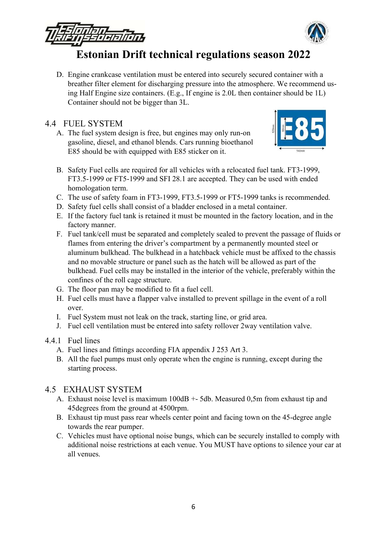

D. Engine crankcase ventilation must be entered into securely secured container with a breather filter element for discharging pressure into the atmosphere. We recommend using Half Engine size containers. (E.g., If engine is 2.0L then container should be 1L) Container should not be bigger than 3L.

### 4.4 FUEL SYSTEM

A. The fuel system design is free, but engines may only run-on gasoline, diesel, and ethanol blends. Cars running bioethanol E85 should be with equipped with E85 sticker on it.



- B. Safety Fuel cells are required for all vehicles with a relocated fuel tank. FT3‐1999, FT3.5‐1999 or FT5‐1999 and SFI 28.1 are accepted. They can be used with ended homologation term.
- C. The use of safety foam in FT3‐1999, FT3.5‐1999 or FT5‐1999 tanks is recommended.
- D. Safety fuel cells shall consist of a bladder enclosed in a metal container.
- E. If the factory fuel tank is retained it must be mounted in the factory location, and in the factory manner.
- F. Fuel tank/cell must be separated and completely sealed to prevent the passage of fluids or flames from entering the driver's compartment by a permanently mounted steel or aluminum bulkhead. The bulkhead in a hatchback vehicle must be affixed to the chassis and no movable structure or panel such as the hatch will be allowed as part of the bulkhead. Fuel cells may be installed in the interior of the vehicle, preferably within the confines of the roll cage structure.
- G. The floor pan may be modified to fit a fuel cell.
- H. Fuel cells must have a flapper valve installed to prevent spillage in the event of a roll over.
- I. Fuel System must not leak on the track, starting line, or grid area.
- J. Fuel cell ventilation must be entered into safety rollover 2way ventilation valve.

#### 4.4.1 Fuel lines

- A. Fuel lines and fittings according FIA appendix J 253 Art 3.
- B. All the fuel pumps must only operate when the engine is running, except during the starting process.

### 4.5 EXHAUST SYSTEM

- A. Exhaust noise level is maximum 100dB +- 5db. Measured 0,5m from exhaust tip and 45degrees from the ground at 4500rpm.
- B. Exhaust tip must pass rear wheels center point and facing town on the 45-degree angle towards the rear pumper.
- C. Vehicles must have optional noise bungs, which can be securely installed to comply with additional noise restrictions at each venue. You MUST have options to silence your car at all venues.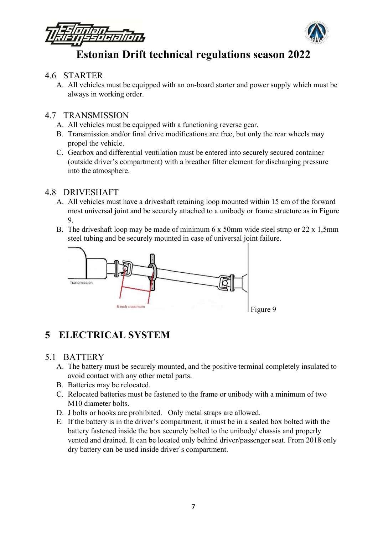

#### 4.6 STARTER

A. All vehicles must be equipped with an on-board starter and power supply which must be always in working order.

#### 4.7 TRANSMISSION

- A. All vehicles must be equipped with a functioning reverse gear.
- B. Transmission and/or final drive modifications are free, but only the rear wheels may propel the vehicle.
- C. Gearbox and differential ventilation must be entered into securely secured container (outside driver's compartment) with a breather filter element for discharging pressure into the atmosphere.

#### 4.8 DRIVESHAFT

- A. All vehicles must have a driveshaft retaining loop mounted within 15 cm of the forward most universal joint and be securely attached to a unibody or frame structure as in Figure 9.
- B. The driveshaft loop may be made of minimum 6 x 50mm wide steel strap or 22 x 1,5mm steel tubing and be securely mounted in case of universal joint failure.



## 5 ELECTRICAL SYSTEM

### 5.1 BATTERY

- A. The battery must be securely mounted, and the positive terminal completely insulated to avoid contact with any other metal parts.
- B. Batteries may be relocated.
- C. Relocated batteries must be fastened to the frame or unibody with a minimum of two M10 diameter bolts.
- D. J bolts or hooks are prohibited. Only metal straps are allowed.
- E. If the battery is in the driver's compartment, it must be in a sealed box bolted with the battery fastened inside the box securely bolted to the unibody/ chassis and properly vented and drained. It can be located only behind driver/passenger seat. From 2018 only dry battery can be used inside driver`s compartment.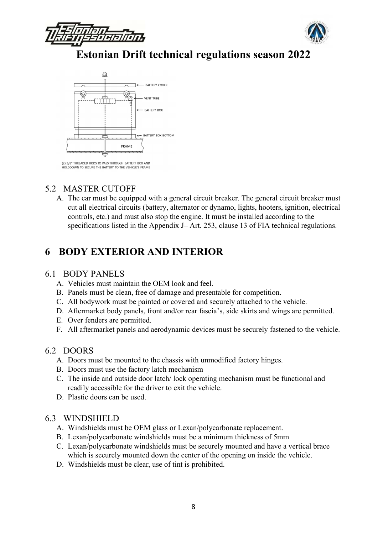





(2) 3/8" THREADED RODS TO PASS THROUGH BATTERY BOX AND<br>HOLDDOWN TO SECURE THE BATTERY TO THE VEHICLE'S FRAME

## 5.2 MASTER CUTOFF

A. The car must be equipped with a general circuit breaker. The general circuit breaker must cut all electrical circuits (battery, alternator or dynamo, lights, hooters, ignition, electrical controls, etc.) and must also stop the engine. It must be installed according to the specifications listed in the Appendix J– Art. 253, clause 13 of FIA technical regulations.

## 6 BODY EXTERIOR AND INTERIOR

#### 6.1 BODY PANELS

- A. Vehicles must maintain the OEM look and feel.
- B. Panels must be clean, free of damage and presentable for competition.
- C. All bodywork must be painted or covered and securely attached to the vehicle.
- D. Aftermarket body panels, front and/or rear fascia's, side skirts and wings are permitted.
- E. Over fenders are permitted.
- F. All aftermarket panels and aerodynamic devices must be securely fastened to the vehicle.

#### 6.2 DOORS

- A. Doors must be mounted to the chassis with unmodified factory hinges.
- B. Doors must use the factory latch mechanism
- C. The inside and outside door latch/ lock operating mechanism must be functional and readily accessible for the driver to exit the vehicle.
- D. Plastic doors can be used.

#### 6.3 WINDSHIELD

- A. Windshields must be OEM glass or Lexan/polycarbonate replacement.
- B. Lexan/polycarbonate windshields must be a minimum thickness of 5mm
- C. Lexan/polycarbonate windshields must be securely mounted and have a vertical brace which is securely mounted down the center of the opening on inside the vehicle.
- D. Windshields must be clear, use of tint is prohibited.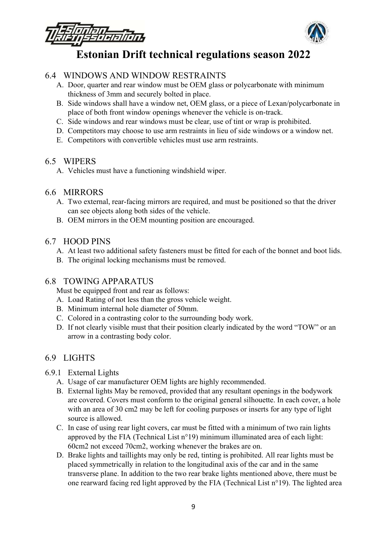

### 6.4 WINDOWS AND WINDOW RESTRAINTS

- A. Door, quarter and rear window must be OEM glass or polycarbonate with minimum thickness of 3mm and securely bolted in place.
- B. Side windows shall have a window net, OEM glass, or a piece of Lexan/polycarbonate in place of both front window openings whenever the vehicle is on-track.
- C. Side windows and rear windows must be clear, use of tint or wrap is prohibited.
- D. Competitors may choose to use arm restraints in lieu of side windows or a window net.
- E. Competitors with convertible vehicles must use arm restraints.

#### 6.5 WIPERS

A. Vehicles must have a functioning windshield wiper.

#### 6.6 MIRRORS

- A. Two external, rear-facing mirrors are required, and must be positioned so that the driver can see objects along both sides of the vehicle.
- B. OEM mirrors in the OEM mounting position are encouraged.

### 6.7 HOOD PINS

- A. At least two additional safety fasteners must be fitted for each of the bonnet and boot lids.
- B. The original locking mechanisms must be removed.

#### 6.8 TOWING APPARATUS

Must be equipped front and rear as follows:

- A. Load Rating of not less than the gross vehicle weight.
- B. Minimum internal hole diameter of 50mm.
- C. Colored in a contrasting color to the surrounding body work.
- D. If not clearly visible must that their position clearly indicated by the word "TOW" or an arrow in a contrasting body color.

### 6.9 LIGHTS

- 6.9.1 External Lights
	- A. Usage of car manufacturer OEM lights are highly recommended.
	- B. External lights May be removed, provided that any resultant openings in the bodywork are covered. Covers must conform to the original general silhouette. In each cover, a hole with an area of 30 cm2 may be left for cooling purposes or inserts for any type of light source is allowed.
	- C. In case of using rear light covers, car must be fitted with a minimum of two rain lights approved by the FIA (Technical List n°19) minimum illuminated area of each light: 60cm2 not exceed 70cm2, working whenever the brakes are on.
	- D. Brake lights and taillights may only be red, tinting is prohibited. All rear lights must be placed symmetrically in relation to the longitudinal axis of the car and in the same transverse plane. In addition to the two rear brake lights mentioned above, there must be one rearward facing red light approved by the FIA (Technical List n°19). The lighted area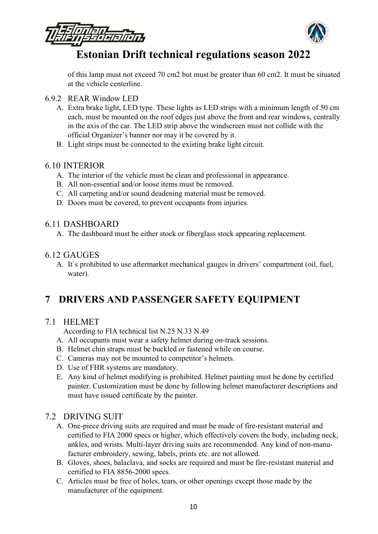

of this lamp must not exceed 70 cm2 but must be greater than 60 cm2. It must be situated at the vehicle centerline.

- 6.9.2 REAR Window LED
	- A. Extra brake light, LED type. These lights as LED strips with a minimum length of 50 cm each, must be mounted on the roof edges just above the front and rear windows, centrally in the axis of the car. The LED strip above the windscreen must not collide with the official Organizer's banner nor may it be covered by it.
	- B. Light strips must be connected to the existing brake light circuit.

## 6.10 INTERIOR

- A. The interior of the vehicle must be clean and professional in appearance.
- B. All non-essential and/or loose items must be removed.
- C. All carpeting and/or sound deadening material must be removed.
- D. Doors must be covered, to prevent occupants from injuries.

### 6.11 DASHBOARD

A. The dashboard must be either stock or fiberglass stock appearing replacement.

## 6.12 GAUGES

A. It`s prohibited to use aftermarket mechanical gauges in drivers' compartment (oil, fuel, water).

## 7 DRIVERS AND PASSENGER SAFETY EQUIPMENT

## 7.1 HELMET

According to FIA technical list N.25 N.33 N.49

- A. All occupants must wear a safety helmet during on-track sessions.
- B. Helmet chin straps must be buckled or fastened while on course.
- C. Cameras may not be mounted to competitor's helmets.
- D. Use of FHR systems are mandatory.
- E. Any kind of helmet modifying is prohibited. Helmet painting must be done by certified painter. Customization must be done by following helmet manufacturer descriptions and must have issued certificate by the painter.

## 7.2 DRIVING SUIT

- A. One-piece driving suits are required and must be made of fire-resistant material and certified to FIA 2000 specs or higher, which effectively covers the body, including neck, ankles, and wrists. Multi-layer driving suits are recommended. Any kind of non-manufacturer embroidery, sewing, labels, prints etc. are not allowed.
- B. Gloves, shoes, balaclava, and socks are required and must be fire-resistant material and certified to FIA 8856-2000 specs.
- C. Articles must be free of holes, tears, or other openings except those made by the manufacturer of the equipment.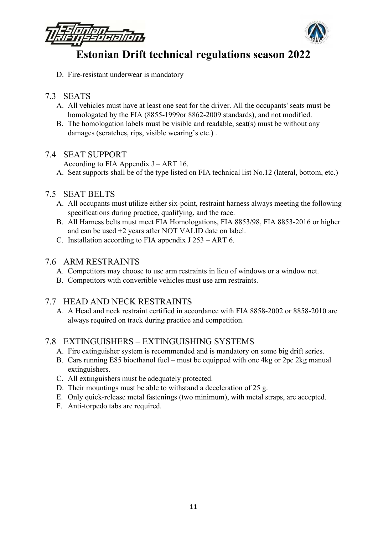

D. Fire-resistant underwear is mandatory

## 7.3 SEATS

- A. All vehicles must have at least one seat for the driver. All the occupants' seats must be homologated by the FIA (8855‐1999or 8862‐2009 standards), and not modified.
- B. The homologation labels must be visible and readable, seat(s) must be without any damages (scratches, rips, visible wearing's etc.) .

### 7.4 SEAT SUPPORT

According to FIA Appendix J – ART 16.

A. Seat supports shall be of the type listed on FIA technical list No.12 (lateral, bottom, etc.)

#### 7.5 SEAT BELTS

- A. All occupants must utilize either six-point, restraint harness always meeting the following specifications during practice, qualifying, and the race.
- B. All Harness belts must meet FIA Homologations, FIA 8853/98, FIA 8853‐2016 or higher and can be used +2 years after NOT VALID date on label.
- C. Installation according to FIA appendix J 253 ART 6.

#### 7.6 ARM RESTRAINTS

- A. Competitors may choose to use arm restraints in lieu of windows or a window net.
- B. Competitors with convertible vehicles must use arm restraints.

### 7.7 HEAD AND NECK RESTRAINTS

A. A Head and neck restraint certified in accordance with FIA 8858-2002 or 8858-2010 are always required on track during practice and competition.

## 7.8 EXTINGUISHERS – EXTINGUISHING SYSTEMS

- A. Fire extinguisher system is recommended and is mandatory on some big drift series.
- B. Cars running E85 bioethanol fuel must be equipped with one 4kg or 2pc 2kg manual extinguishers.
- C. All extinguishers must be adequately protected.
- D. Their mountings must be able to withstand a deceleration of 25 g.
- E. Only quick‐release metal fastenings (two minimum), with metal straps, are accepted.
- F. Anti-torpedo tabs are required.